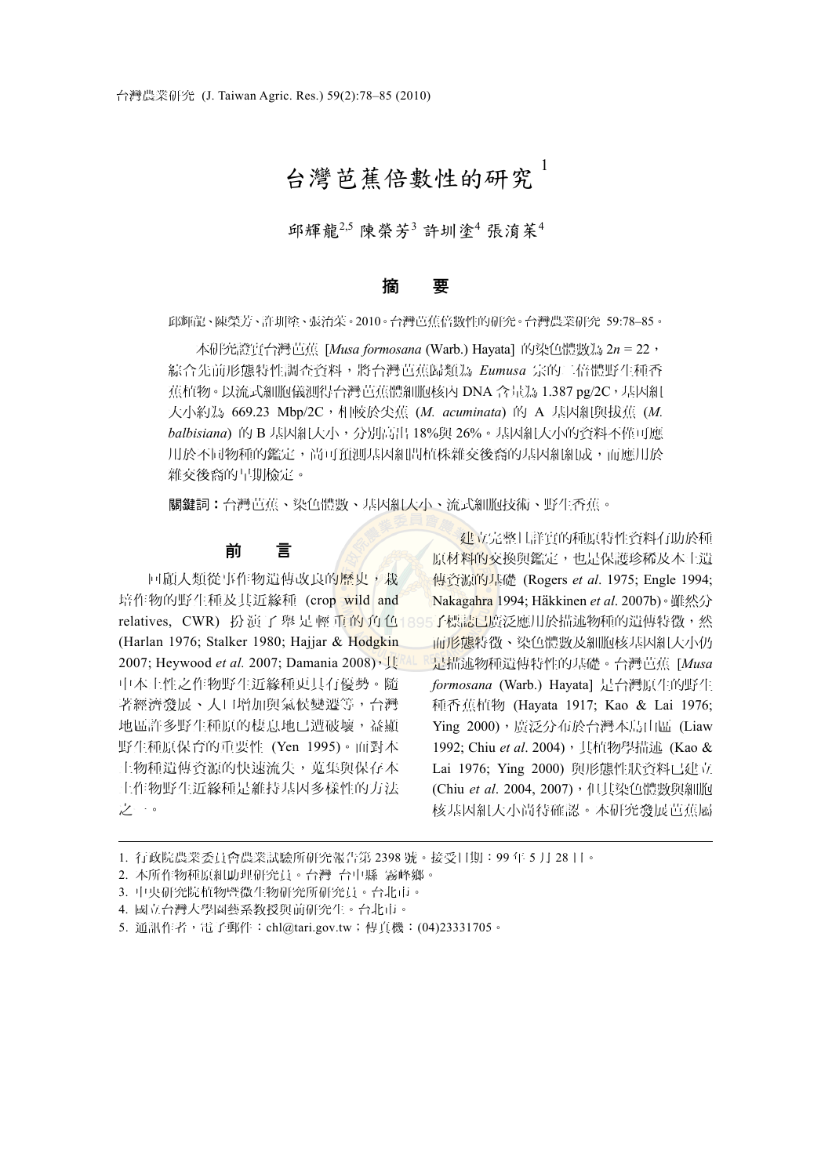# 台灣芭蕉倍數性的研究 <sup>1</sup>

邱輝龍<sup>2,5</sup> 陳榮芳<sup>3</sup> 許圳塗<sup>4</sup> 張淯茱<sup>4</sup>

### 摘 要

邱輝龍、陳榮芳、許圳塗、張淯茱。2010。台灣芭蕉倍數性的研究。台灣農業研究 59:78–85。

本研究證實台灣芭蕉 [*Musa formosana* (Warb.) Hayata] 的染色體數為 2*n* = 22, 綜合先前形態特性調查資料,將台灣芭蕉歸類為 *Eumusa* 宗的二倍體野生種香 蕉植物。以流式細胞儀測得台灣芭蕉體細胞核內 DNA 含量為 1.387 pg/2C,基因組 大小約為 669.23 Mbp/2C,相較於尖蕉 (*M. acuminata*) 的 A 基因組與拔蕉 (*M. balbisiana*) 的 B 基因組大小,分別高出 18%與 26%。基因組大小的資料不僅可應 用於不同物種的鑑定,尚可預測基因組間植株雜交後裔的基因組制成,而應用於 雜交後裔的早期檢定。

關鍵詞︰台灣芭蕉、染色體數、基因組大小、流式細胞技術、野生香蕉。

## 前 言

回顧人類從事作物潰傳改良的歷史,栽 培作物的野生種及其近緣種 (crop wild and relatives,CWR)扮 演 了 舉 足 輕 重 的 角 色 895子標誌已廣泛應用於描述物種的遺傳特徵,然 (Harlan 1976; Stalker 1980; Hajjar & Hodgkin 2007; Heywood *et al.* 2007; Damania 2008), 其 中本土性之作物野生近緣種更具有優勢。隨 著經濟發展、人口增加與氣候變遷等,台灣 地區許多野生種原的棲息地已遭破壞,益顯 野生種原保育的重要性 (Yen 1995)。面對本 土物種遺傳資源的快速流失,蒐集與保存本 土作物野生近緣種是維持基因多樣性的方法 之一。

建立完整且詳實的種原特性資料有助於種 原材料的交換與鑑定,也是保護珍稀及本土遺 傳資源的基礎 (Rogers *et al*. 1975; Engle 1994; Nakagahra 1994; Häkkinen *et al*. 2007b)。雖然分 而形態特徵、染色體數及細胞核基因組大小仍 是描述物種遺傳特性的基礎。台灣芭蕉 [*Musa formosana* (Warb.) Hayata] 是台灣原生的野生 種香蕉植物 (Hayata 1917; Kao & Lai 1976; Ying 2000),廣泛分布於台灣本島山區 (Liaw 1992; Chiu et al. 2004), 其植物學描述 (Kao & Lai 1976; Ying 2000) 與形態性狀資料已建立 (Chiu et al. 2004, 2007), 但其染色體數與細胞 核基因組大小尚待確認。本研究發展芭蕉屬

1. 行政院農業委員會農業試驗所研究報告第 2398 號。接受日期:99 年 5 月 28 日。

2. 本所作物種原組助理研究員。台灣 台中縣 霧峰鄉。

3. 中央研究院植物暨微生物研究所研究員。台北市。

4. 國立台灣大學園藝系教授與前研究生。台北市。

5. 通訊作者,電子郵件:chl@tari.gov.tw;傳真機:(04)23331705。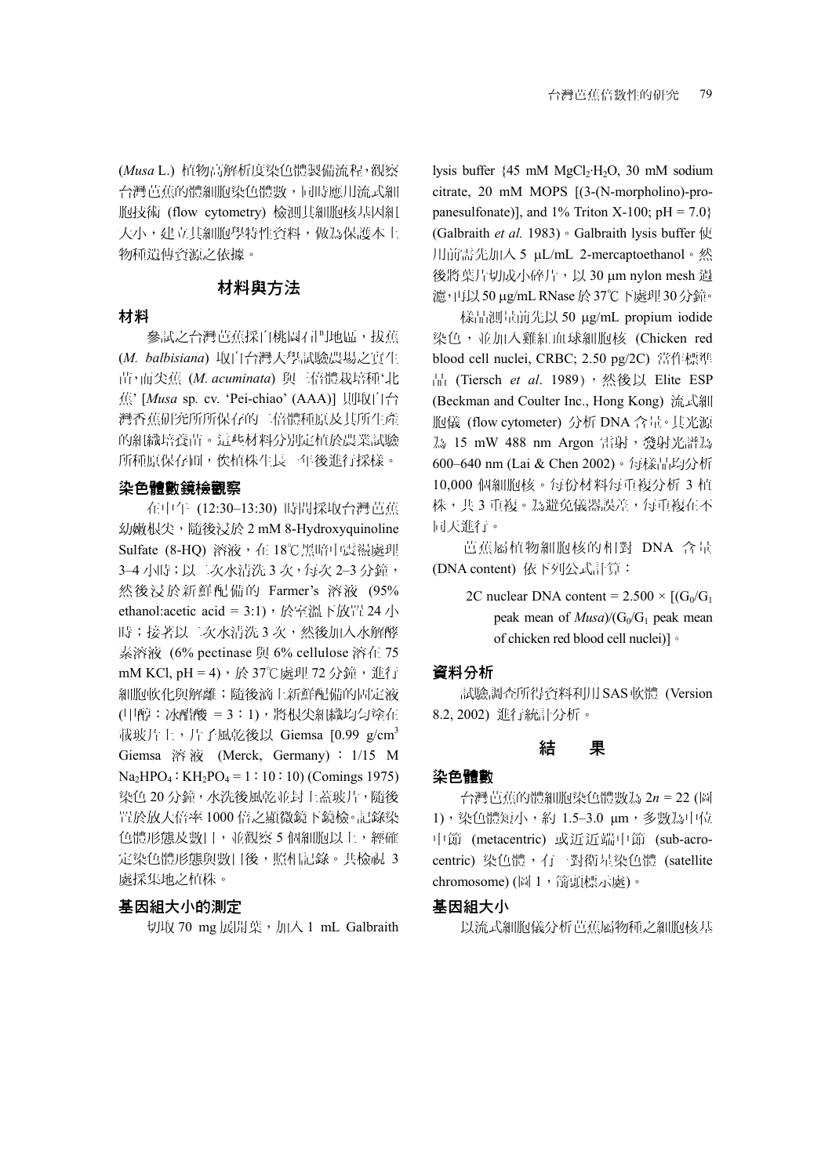(*Musa* L.) 植物高解析度染色體製備流程,觀察 台灣芭蕉的體細胞染色體數,同時應用流式細 胞技術 (flow cytometry) 檢測其細胞核基因組 大小,建立其細胞學特性資料,做為保護本土 物種遺傳資源之依據。

# 材料與方法

#### 材料

參試之台灣芭蕉採自桃園石門地區,拔蕉 (*M. balbisiana*) 取自台灣大學試驗農場之實生 苗,而尖蕉 (*M. acuminata*) 與三倍體栽培種'北 蕉' [*Musa* sp*.* cv. 'Pei-chiao' (AAA)] 則取自台 灣香蕉研究所所保存的二倍體種原及其所生產 的組織培養苗。這些材料分別定植於農業試驗 所種原保存圃,俟植株生長一年後進行採樣。

#### 染色體數鏡檢觀察

在中午 (12:30–13:30) 時間採取台灣芭蕉 幼嫩根尖,隨後浸於 2 mM 8-Hydroxyquinoline Sulfate (8-HQ) 溶液, 在 18℃黑暗中震盪處理 3–4 小時;以二次水清洗 3 次,每次 2–3 分鐘, 然後浸於新鮮配備的 Farmer's 溶液 (95% ethanol:acetic acid = 3:1),於室溫下放置 24 小 時;接著以二次水清洗 3 次,然後加入水解酵 素溶液 (6% pectinase 與 6% cellulose 溶在 75 mM KCl, pH = 4),於 37℃處理 72 分鐘,進行 細胞軟化與解離;隨後滴上新鮮配備的固定液 (甲醇:冰醋酸 = 3:1),將根尖組織均勻塗在 載玻片上,片子風乾後以 Giemsa  $[0.99 \text{ g/cm}^3$ Giemsa 溶 液 (Merck, Germany) : 1/15 M  $Na<sub>2</sub>HPO<sub>4</sub>: KH<sub>2</sub>PO<sub>4</sub> = 1:10:10$ ) (Comings 1975) 染色 20 分鐘,水洗後風乾並封上蓋玻片,隨後 置於放大倍率 1000 倍之顯微鏡下鏡檢。記錄染 色體形態及數目,並觀察 5 個細胞以上,經確 定染色體形態與數目後,照相記錄。共檢視 3 處採集地之植株。

#### 基因組大小的測定

切取 70 mg 展開葉,加入 1 mL Galbraith

lysis buffer {45 mM MgCl<sub>2</sub>·H<sub>2</sub>O, 30 mM sodium citrate, 20 mM MOPS [(3-(N-morpholino)-propanesulfonate)], and  $1\%$  Triton X-100; pH = 7.0} (Galbraith *et al.* 1983)。Galbraith lysis buffer 使 用前需先加入 5 μL/mL 2-mercaptoethanol。然 後將葉片切成小碎片,以 30 μm nylon mesh 過 濾,再以50 μg/mL RNase於37℃下處理30 分鐘。

樣品測量前先以 50 μg/mL propium iodide 染色,並加入雞紅血球細胞核 (Chicken red blood cell nuclei, CRBC; 2.50 pg/2C) 當作標準 品 (Tiersch et al. 1989),然後以 Elite ESP (Beckman and Coulter Inc., Hong Kong) 流式細 胞儀 (flow cytometer) 分析 DNA 含量。其光源 為 15 mW 488 nm Argon 雷射,發射光譜為 600–640 nm (Lai & Chen 2002)。每樣品均分析 10,000 個細胞核。每份材料每重複分析 3 植 株,共3重複。為避免儀器誤差,每重複在不 同天進行。

芭蕉屬植物細胞核的相對 DNA 含量 (DNA content) 依下列公式計算:

> 2C nuclear DNA content =  $2.500 \times [(G_0/G_1)]$ peak mean of  $Musa/(G<sub>0</sub>/G<sub>1</sub>$  peak mean of chicken red blood cell nuclei)]。

# 資料分析

試驗調查所得資料利用 SAS軟體 (Version 8.2, 2002) 進行統計分析。

#### 結 果

#### 染色體數

台灣芭蕉的體細胞染色體數為 2*n* = 22 (圖 1),染色體短小,約 1.5–3.0 μm,多數為中位 中節 (metacentric) 或近近端中節 (sub-acrocentric) 染色體,有一對衛星染色體 (satellite chromosome) (圖 1, 箭頭標示處)。

#### 基因組大小

以流式細胞儀分析芭蕉屬物種之細胞核基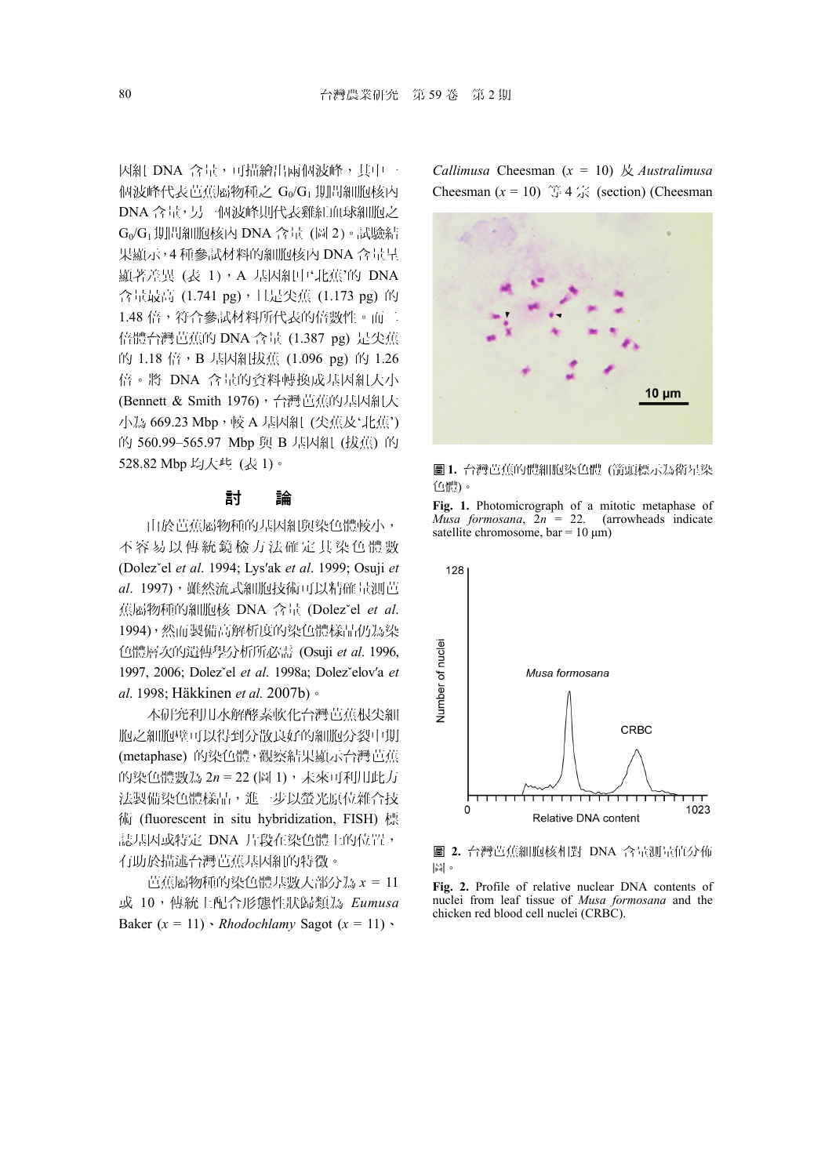因組 DNA 含量,可描繪出兩個波峰,其中一 個波峰代表芭蕉屬物種之 Go/G1 期間細胞核內 DNA 含量,另一個波峰則代表雞紅血球細胞之 G0/G1期間細胞核內 DNA 含量 (圖 2)。試驗結 果顯示,4 種參試材料的細胞核內 DNA 含量呈 顯著差異 (表 1), A 基因組中'北蕉'的 DNA 含量最高 (1.741 pg), 且是尖蕉 (1.173 pg) 的 1.48 倍,符合參試材料所代表的倍數性。而二 倍體台灣芭蕉的 DNA 含量 (1.387 pg) 是尖蕉 的 1.18 倍, B 基因組拔蕉 (1.096 pg) 的 1.26 倍。將 DNA 含量的資料轉換成基因組大小 (Bennett & Smith 1976), 台灣芭蕉的基因組大 小為 669.23 Mbp,較 A 基因組 (尖蕉及'北蕉') 的 560.99-565.97 Mbp 與 B 基因組 (拔蕉) 的 528.82 Mbp 均大些 (表 1)。

# 討 論

由於芭蕉屬物種的基因組與染色體較小, 不容易以傳統鏡檢方法確定其染色體數 (Dolezˇel *et al*. 1994; Lys′ak *et al*. 1999; Osuji *et al*. 1997),雖然流式細胞技術可以精確量測芭 蕉屬物種的細胞核 DNA 含量 (Dolezˇel *et al*. 1994),然而製備高解析度的染色體樣品仍為染 色體層次的遺傳學分析所必需 (Osuji *et al*. 1996, 1997, 2006; Dolezˇel *et al*. 1998a; Dolezˇelov′a *et al*. 1998; Häkkinen *et al.* 2007b)。

本研究利用水解酵素軟化台灣芭蕉根尖細 胞之細胞壁可以得到分散良好的細胞分裂中期 (metaphase) 的染色體,觀察結果顯示台灣芭蕉 的染色體數為 2*n* = 22 (圖 1),未來可利用此方 法製備染色體樣品,進一步以螢光原位雜合技 術 (fluorescent in situ hybridization, FISH) 標 誌基因或特定 DNA 片段在染色體上的位置, 有助於描述台灣芭蕉基因組的特徵。

芭蕉屬物種的染色體基數大部分為 *x* = 11 或 10,傳統上配合形態性狀歸類為 *Eumusa* Baker  $(x = 11) \cdot Rhodochlamy$  Sagot  $(x = 11) \cdot$ 

*Callimusa* Cheesman (*x* = 10) 及 *Australimusa* Cheesman  $(x = 10)$  等 4 宗 (section) (Cheesman



圖 **1.** 台灣芭蕉的體細胞染色體 (箭頭標示為衛星染 色體)。

**Fig. 1.** Photomicrograph of a mitotic metaphase of *Musa formosana*, 2*n* = 22. (arrowheads indicate satellite chromosome, bar =  $10 \mu m$ )



圖 **2.** 台灣芭蕉細胞核相對 DNA 含量測量值分佈 圖。

**Fig. 2.** Profile of relative nuclear DNA contents of nuclei from leaf tissue of *Musa formosana* and the chicken red blood cell nuclei (CRBC).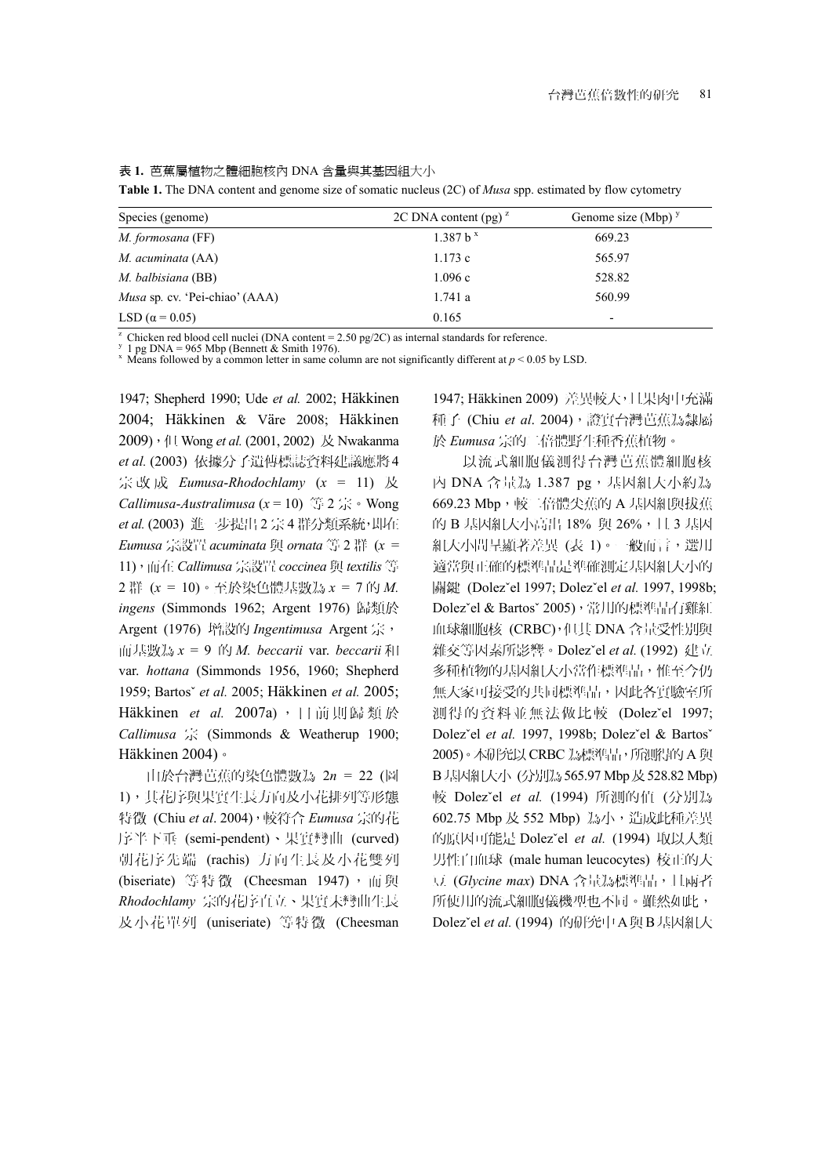表 **1.** 芭蕉屬植物之體細胞核內 DNA 含量與其基因組大小

**Table 1.** The DNA content and genome size of somatic nucleus (2C) of *Musa* spp. estimated by flow cytometry

| Species (genome)                      | 2C DNA content (pg) <sup><math>z</math></sup> | Genome size (Mbp) $\frac{y}{x}$ |
|---------------------------------------|-----------------------------------------------|---------------------------------|
| <i>M. formosana</i> (FF)              | 1.387 b <sup>x</sup>                          | 669.23                          |
| M. acuminata (AA)                     | 1.173c                                        | 565.97                          |
| M. balbisiana (BB)                    | 1.096c                                        | 528.82                          |
| <i>Musa</i> sp. cv. 'Pei-chiao' (AAA) | 1.741a                                        | 560.99                          |
| LSD ( $\alpha$ = 0.05)                | 0.165                                         | ۰                               |

<sup>z</sup> Chicken red blood cell nuclei (DNA content = 2.50 pg/2C) as internal standards for reference.<br><sup>y</sup> 1 pg DNA = 965 Mbp (Bennett & Smith 1976).<br><sup>x</sup> Means followed by a common letter in same column are not significantly d

1947; Shepherd 1990; Ude *et al.* 2002; Häkkinen 2004; Häkkinen & Väre 2008; Häkkinen 2009),但 Wong *et al.* (2001, 2002) 及 Nwakanma *et al.* (2003) 依據分子遺傳標誌資料建議應將4 宗改成 *Eumusa*-*Rhodochlamy* (*x* = 11) 及 *Callimusa*-*Australimusa* (*x* = 10) 等 2 宗。Wong *et al.* (2003) 進一步提出 2 宗 4 群分類系統,即在 *Eumusa* 宗設置 *acuminata* 與 *ornata* 等 2 群 (*x* = 11),而在 *Callimusa* 宗設置 *coccinea* 與 *textilis* 等 2 群 (*x* = 10)。至於染色體基數為 *x* = 7 的 *M. ingens* (Simmonds 1962; Argent 1976) 歸類於 Argent (1976) 增設的 *Ingentimusa* Argent 宗, 而基數為 *x* = 9 的 *M. beccarii* var. *beccarii* 和 var. *hottana* (Simmonds 1956, 1960; Shepherd 1959; Bartosˇ *et al.* 2005; Häkkinen *et al.* 2005; Häkkinen *et al.* 2007a), 目前則歸類於 *Callimusa* 宗 (Simmonds & Weatherup 1900; Häkkinen 2004)。

由於台灣芭蕉的染色體數為 2*n* = 22 (圖 1),其花序與果實生長方向及小花排列等形態 特徵 (Chiu *et al*. 2004),較符合 *Eumusa* 宗的花 序半下垂 (semi-pendent)、果實彎曲 (curved) 朝花序先端 (rachis) 方向生長及小花雙列 (biseriate) 等特徵 (Cheesman 1947), 而與 *Rhodochlamy* 宗的花序直立、果實未彎曲生長 及小花單列 (uniseriate) 等特徵 (Cheesman

1947; Häkkinen 2009) 差異較大,且果肉中充滿 種子 (Chiu et al. 2004),證實台灣芭蕉為隸屬 於 *Eumusa* 宗的二倍體野生種香蕉植物。

以流式細胞儀測得台灣芭蕉體細胞核 內 DNA 含量為 1.387 pg,基因組大小約為 669.23 Mbp, 較二倍體尖蕉的 A 基因組與拔蕉 的 B 基因組大小高出 18% 與 26%, 且 3 基因 組大小間呈顯著差異 (表 1)。一般而言,選用 適當與正確的標準品是準確測定基因組大小的 關鍵 (Dolezˇel 1997; Dolezˇel *et al.* 1997, 1998b; Dolezˇel & Bartosˇ 2005),常用的標準品有雞紅 血球細胞核 (CRBC),但其 DNA 含量受性別與 雜交等因素所影響。Dolezˇel *et al.* (1992) 建立 多種植物的基因組大小當作標準品,惟至今仍 無大家可接受的共同標準品,因此各實驗室所 測得的資料並無法做比較 (Dolezˇel 1997; Dolezˇel *et al.* 1997, 1998b; Dolezˇel & Bartosˇ 2005)。本研究以 CRBC 為標準品,所測得的 A 與 B 基因組大小 (分別為 565.97 Mbp 及 528.82 Mbp) 較 Dolezˇel *et al.* (1994) 所測的值 (分別為 602.75 Mbp 及 552 Mbp) 為小,造成此種差異 的原因可能是 Dolezˇel *et al.* (1994) 取以人類 男性白血球 (male human leucocytes) 校正的大 豆 (*Glycine max*) DNA 含量為標準品,且兩者 所使用的流式細胞儀機型也不同。雖然如此, Dolezˇel *et al.* (1994) 的研究中A與B基因組大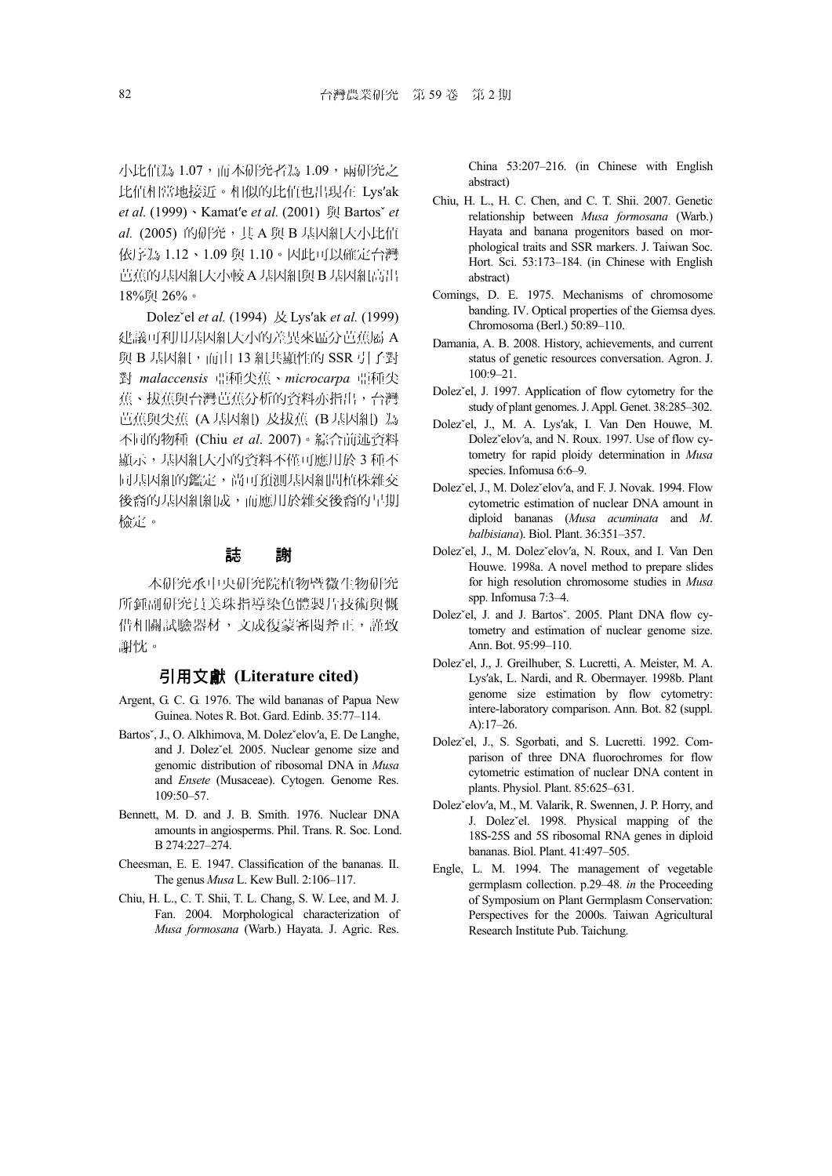小比值為 1.07,而本研究者為 1.09,兩研究之 比值相當地接近。相似的比值也出現在 Lys′ak *et al.* (1999)、Kamat′e *et al.* (2001) 與 Bartosˇ *et al.* (2005) 的研究,其 A 與 B 基因組大小比值 依序為 1.12、1.09 與 1.10。因此可以確定台灣 芭蕉的基因組大小較 A基因組與 B基因組高出 18%與 26%。

Dolezˇel *et al.* (1994) 及 Lys′ak *et al.* (1999) 建議可利用基因組大小的差異來區分芭蕉屬 A 與 B 基因組,而由 13 組共顯性的 SSR 引子對 對 *malaccensis* 亞種尖蕉、*microcarpa* 亞種尖 蕉、拔蕉與台灣芭蕉分析的資料亦指出,台灣 芭蕉與尖蕉 (A基因組) 及拔蕉 (B基因組) 為 不同的物種 (Chiu *et al*. 2007)。綜合前述資料 顯示,基因組大小的資料不僅可應用於 3 種不 同基因組的鑑定,尚可預測基因組間植株雜交 後裔的基因組組成,而應用於雜交後裔的早期 檢定。

#### 誌 謝

本研究承中央研究院植物暨微生物研究 所鍾副研究員美珠指導染色體製片技術與慨 借相關試驗器材,文成復蒙審閱斧正,謹致 謝忱。

#### 引用文獻 **(Literature cited)**

- Argent, G. C. G. 1976. The wild bananas of Papua New Guinea. Notes R. Bot. Gard. Edinb. 35:77–114.
- Bartosˇ, J., O. Alkhimova, M. Dolezˇelov′a, E. De Langhe, and J. Dolezˇel*.* 2005. Nuclear genome size and genomic distribution of ribosomal DNA in *Musa*  and *Ensete* (Musaceae). Cytogen. Genome Res. 109:50–57.
- Bennett, M. D. and J. B. Smith. 1976. Nuclear DNA amounts in angiosperms. Phil. Trans. R. Soc. Lond. B 274:227–274.
- Cheesman, E. E. 1947. Classification of the bananas. II. The genus *Musa* L. Kew Bull. 2:106–117.
- Chiu, H. L., C. T. Shii, T. L. Chang, S. W. Lee, and M. J. Fan. 2004. Morphological characterization of *Musa formosana* (Warb.) Hayata. J. Agric. Res.

China 53:207–216. (in Chinese with English abstract)

- Chiu, H. L., H. C. Chen, and C. T. Shii. 2007. Genetic relationship between *Musa formosana* (Warb.) Hayata and banana progenitors based on morphological traits and SSR markers. J. Taiwan Soc. Hort. Sci. 53:173–184. (in Chinese with English abstract)
- Comings, D. E. 1975. Mechanisms of chromosome banding. IV. Optical properties of the Giemsa dyes. Chromosoma (Berl.) 50:89–110.
- Damania, A. B. 2008. History, achievements, and current status of genetic resources conversation. Agron. J. 100:9–21.
- Dolez'el, J. 1997. Application of flow cytometry for the study of plant genomes. J. Appl. Genet. 38:285–302.
- Dolezˇel, J., M. A. Lys′ak, I. Van Den Houwe, M. Dolezˇelov′a, and N. Roux. 1997. Use of flow cytometry for rapid ploidy determination in *Musa* species. Infomusa 6:6–9.
- Dolezˇel, J., M. Dolezˇelov′a, and F. J. Novak. 1994. Flow cytometric estimation of nuclear DNA amount in diploid bananas (*Musa acuminata* and *M*. *balbisiana*). Biol. Plant. 36:351–357.
- Dolezˇel, J., M. Dolezˇelov′a, N. Roux, and I. Van Den Houwe. 1998a. A novel method to prepare slides for high resolution chromosome studies in *Musa* spp. Infomusa 7:3–4.
- Dolez`el, J. and J. Bartos`. 2005. Plant DNA flow cytometry and estimation of nuclear genome size. Ann. Bot. 95:99–110.
- Dolezˇel, J., J. Greilhuber, S. Lucretti, A. Meister, M. A. Lys′ak, L. Nardi, and R. Obermayer. 1998b. Plant genome size estimation by flow cytometry: intere-laboratory comparison. Ann. Bot. 82 (suppl. A):17–26.
- Dolezˇel, J., S. Sgorbati, and S. Lucretti. 1992. Comparison of three DNA fluorochromes for flow cytometric estimation of nuclear DNA content in plants. Physiol. Plant. 85:625–631.
- Dolezˇelov′a, M., M. Valarik, R. Swennen, J. P. Horry, and J. Dolezˇel. 1998. Physical mapping of the 18S-25S and 5S ribosomal RNA genes in diploid bananas. Biol. Plant. 41:497–505.
- Engle, L. M. 1994. The management of vegetable germplasm collection. p.29–48. *in* the Proceeding of Symposium on Plant Germplasm Conservation: Perspectives for the 2000s. Taiwan Agricultural Research Institute Pub. Taichung.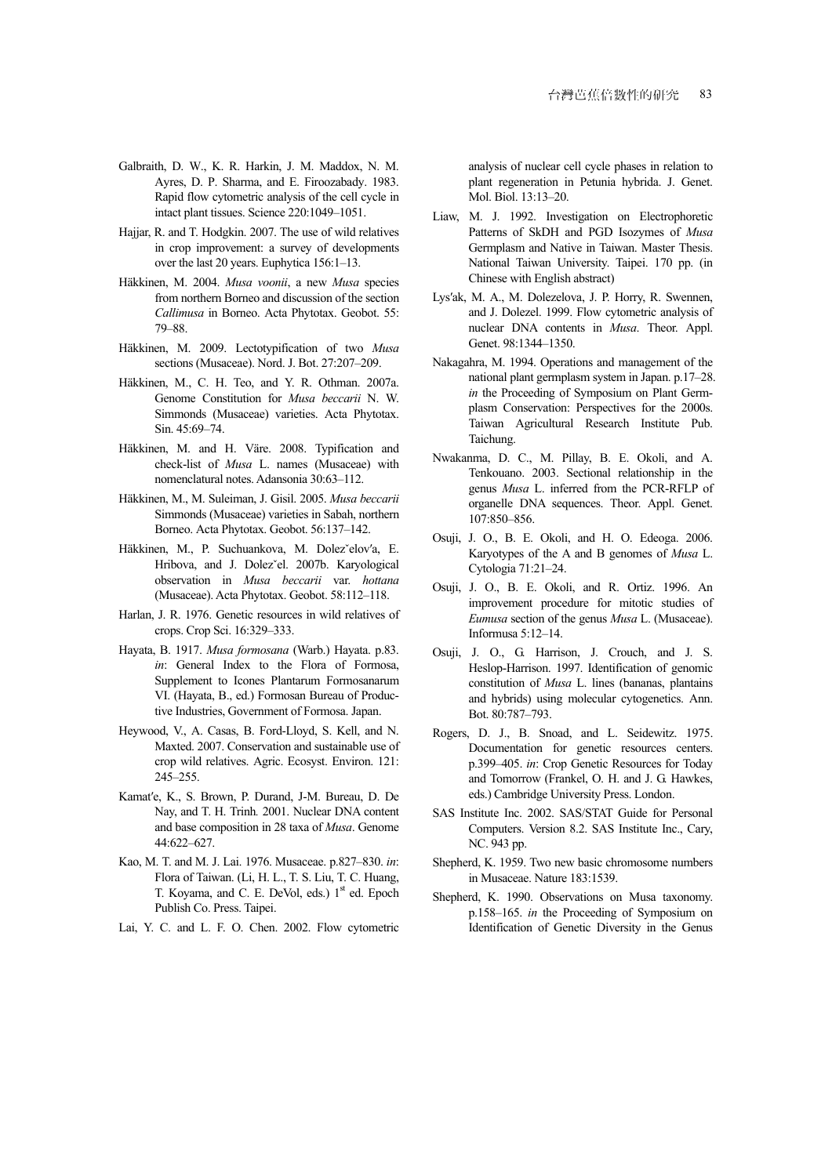- Galbraith, D. W., K. R. Harkin, J. M. Maddox, N. M. Ayres, D. P. Sharma, and E. Firoozabady. 1983. Rapid flow cytometric analysis of the cell cycle in intact plant tissues. Science 220:1049–1051.
- Hajjar, R. and T. Hodgkin. 2007. The use of wild relatives in crop improvement: a survey of developments over the last 20 years. Euphytica 156:1–13.
- Häkkinen, M. 2004. *Musa voonii*, a new *Musa* species from northern Borneo and discussion of the section *Callimusa* in Borneo. Acta Phytotax. Geobot. 55: 79–88.
- Häkkinen, M. 2009. Lectotypification of two *Musa*  sections (Musaceae). Nord. J. Bot. 27:207–209.
- Häkkinen, M., C. H. Teo, and Y. R. Othman. 2007a. Genome Constitution for *Musa beccarii* N. W. Simmonds (Musaceae) varieties. Acta Phytotax. Sin. 45:69–74.
- Häkkinen, M. and H. Väre. 2008. Typification and check-list of *Musa* L. names (Musaceae) with nomenclatural notes. Adansonia 30:63–112.
- Häkkinen, M., M. Suleiman, J. Gisil. 2005. *Musa beccarii*  Simmonds (Musaceae) varieties in Sabah, northern Borneo. Acta Phytotax. Geobot. 56:137–142.
- Häkkinen, M., P. Suchuankova, M. Dolezˇelov′a, E. Hribova, and J. Dolezˇel. 2007b. Karyological observation in *Musa beccarii* var. *hottana* (Musaceae). Acta Phytotax. Geobot. 58:112–118.
- Harlan, J. R. 1976. Genetic resources in wild relatives of crops. Crop Sci. 16:329–333.
- Hayata, B. 1917. *Musa formosana* (Warb.) Hayata. p.83. *in*: General Index to the Flora of Formosa, Supplement to Icones Plantarum Formosanarum VI. (Hayata, B., ed.) Formosan Bureau of Productive Industries, Government of Formosa. Japan.
- Heywood, V., A. Casas, B. Ford-Lloyd, S. Kell, and N. Maxted. 2007. Conservation and sustainable use of crop wild relatives. Agric. Ecosyst. Environ. 121: 245–255.
- Kamat′e, K., S. Brown, P. Durand, J-M. Bureau, D. De Nay, and T. H. Trinh*.* 2001. Nuclear DNA content and base composition in 28 taxa of *Musa*. Genome 44:622–627.
- Kao, M. T. and M. J. Lai. 1976. Musaceae. p.827–830. *in*: Flora of Taiwan. (Li, H. L., T. S. Liu, T. C. Huang, T. Koyama, and C. E. DeVol, eds.) 1<sup>st</sup> ed. Epoch Publish Co. Press. Taipei.
- Lai, Y. C. and L. F. O. Chen. 2002. Flow cytometric

analysis of nuclear cell cycle phases in relation to plant regeneration in Petunia hybrida. J. Genet. Mol. Biol. 13:13–20.

- Liaw, M. J. 1992. Investigation on Electrophoretic Patterns of SkDH and PGD Isozymes of *Musa*  Germplasm and Native in Taiwan. Master Thesis. National Taiwan University. Taipei. 170 pp. (in Chinese with English abstract)
- Lys′ak, M. A., M. Dolezelova, J. P. Horry, R. Swennen, and J. Dolezel. 1999. Flow cytometric analysis of nuclear DNA contents in *Musa*. Theor. Appl. Genet. 98:1344–1350.
- Nakagahra, M. 1994. Operations and management of the national plant germplasm system in Japan. p.17–28. *in* the Proceeding of Symposium on Plant Germplasm Conservation: Perspectives for the 2000s. Taiwan Agricultural Research Institute Pub. Taichung.
- Nwakanma, D. C., M. Pillay, B. E. Okoli, and A. Tenkouano. 2003. Sectional relationship in the genus *Musa* L. inferred from the PCR-RFLP of organelle DNA sequences. Theor. Appl. Genet. 107:850–856.
- Osuji, J. O., B. E. Okoli, and H. O. Edeoga. 2006. Karyotypes of the A and B genomes of *Musa* L. Cytologia 71:21–24.
- Osuji, J. O., B. E. Okoli, and R. Ortiz. 1996. An improvement procedure for mitotic studies of *Eumusa* section of the genus *Musa* L. (Musaceae). Informusa 5:12–14.
- Osuji, J. O., G. Harrison, J. Crouch, and J. S. Heslop-Harrison. 1997. Identification of genomic constitution of *Musa* L. lines (bananas, plantains and hybrids) using molecular cytogenetics. Ann. Bot. 80:787–793.
- Rogers, D. J., B. Snoad, and L. Seidewitz. 1975. Documentation for genetic resources centers. p.399–405. *in*: Crop Genetic Resources for Today and Tomorrow (Frankel, O. H. and J. G. Hawkes, eds.) Cambridge University Press. London.
- SAS Institute Inc. 2002. SAS/STAT Guide for Personal Computers. Version 8.2. SAS Institute Inc., Cary, NC. 943 pp.
- Shepherd, K. 1959. Two new basic chromosome numbers in Musaceae. Nature 183:1539.
- Shepherd, K. 1990. Observations on Musa taxonomy. p.158–165. *in* the Proceeding of Symposium on Identification of Genetic Diversity in the Genus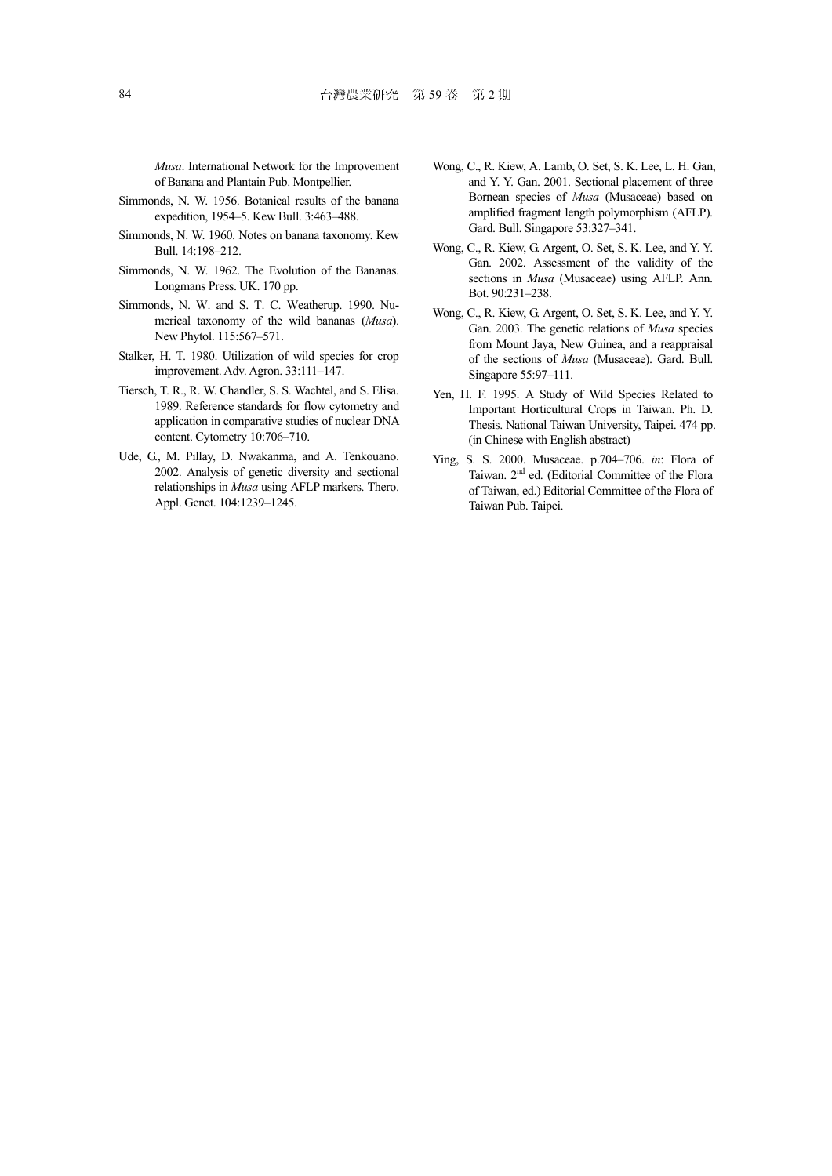*Musa*. International Network for the Improvement of Banana and Plantain Pub. Montpellier.

- Simmonds, N. W. 1956. Botanical results of the banana expedition, 1954–5. Kew Bull. 3:463–488.
- Simmonds, N. W. 1960. Notes on banana taxonomy. Kew Bull. 14:198–212.
- Simmonds, N. W. 1962. The Evolution of the Bananas. Longmans Press. UK. 170 pp.
- Simmonds, N. W. and S. T. C. Weatherup. 1990. Numerical taxonomy of the wild bananas (*Musa*). New Phytol. 115:567–571.
- Stalker, H. T. 1980. Utilization of wild species for crop improvement. Adv. Agron. 33:111–147.
- Tiersch, T. R., R. W. Chandler, S. S. Wachtel, and S. Elisa. 1989. Reference standards for flow cytometry and application in comparative studies of nuclear DNA content. Cytometry 10:706–710.
- Ude, G., M. Pillay, D. Nwakanma, and A. Tenkouano. 2002. Analysis of genetic diversity and sectional relationships in *Musa* using AFLP markers. Thero. Appl. Genet. 104:1239–1245.
- Wong, C., R. Kiew, A. Lamb, O. Set, S. K. Lee, L. H. Gan, and Y. Y. Gan. 2001. Sectional placement of three Bornean species of *Musa* (Musaceae) based on amplified fragment length polymorphism (AFLP). Gard. Bull. Singapore 53:327–341.
- Wong, C., R. Kiew, G. Argent, O. Set, S. K. Lee, and Y. Y. Gan. 2002. Assessment of the validity of the sections in *Musa* (Musaceae) using AFLP. Ann. Bot. 90:231–238.
- Wong, C., R. Kiew, G. Argent, O. Set, S. K. Lee, and Y. Y. Gan. 2003. The genetic relations of *Musa* species from Mount Jaya, New Guinea, and a reappraisal of the sections of *Musa* (Musaceae). Gard. Bull. Singapore 55:97–111.
- Yen, H. F. 1995. A Study of Wild Species Related to Important Horticultural Crops in Taiwan. Ph. D. Thesis. National Taiwan University, Taipei. 474 pp. (in Chinese with English abstract)
- Ying, S. S. 2000. Musaceae. p.704–706. *in*: Flora of Taiwan. 2nd ed. (Editorial Committee of the Flora of Taiwan, ed.) Editorial Committee of the Flora of Taiwan Pub. Taipei.